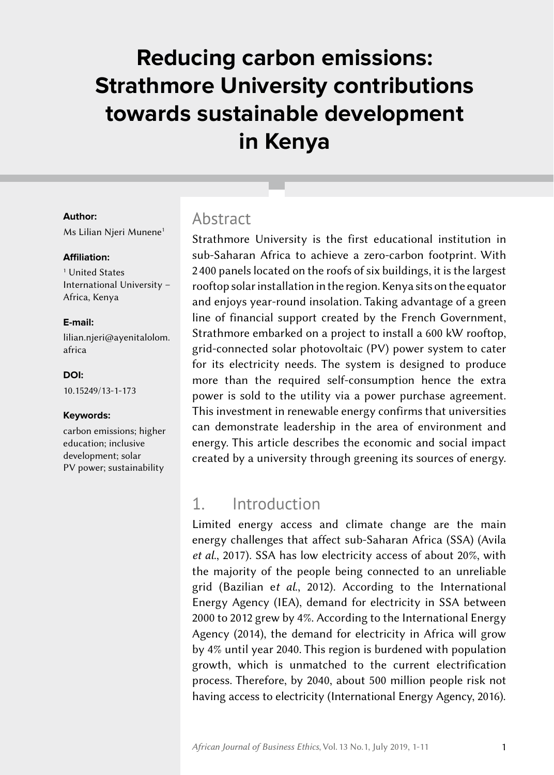# **Reducing carbon emissions: Strathmore University contributions towards sustainable development in Kenya**

#### **Author:**

Ms Lilian Njeri Munene<sup>1</sup>

#### **Affiliation:**

1 United States International University – Africa, Kenya

#### **E‑mail:**

[lilian.njeri@ayenitalolom.](mailto:lilian.njeri%40ayenitalolom.africa?subject=) [africa](mailto:lilian.njeri%40ayenitalolom.africa?subject=)

#### **DOI:**

[10.15249/13-1-173](https://doi.org/10.15249/13-1-173)

#### **Keywords:**

carbon emissions; higher education; inclusive development; solar PV power; sustainability

#### Abstract

Strathmore University is the first educational institution in sub-Saharan Africa to achieve a zero-carbon footprint. With 2 400 panels located on the roofs of six buildings, it is the largest rooftop solar installation in the region. Kenya sits on the equator and enjoys year-round insolation. Taking advantage of a green line of financial support created by the French Government, Strathmore embarked on a project to install a 600 kW rooftop, grid-connected solar photovoltaic (PV) power system to cater for its electricity needs. The system is designed to produce more than the required self-consumption hence the extra power is sold to the utility via a power purchase agreement. This investment in renewable energy confirms that universities can demonstrate leadership in the area of environment and energy. This article describes the economic and social impact created by a university through greening its sources of energy.

# 1. Introduction

Limited energy access and climate change are the main energy challenges that affect sub‑Saharan Africa (SSA) (Avila *et al*., 2017). SSA has low electricity access of about 20%, with the majority of the people being connected to an unreliable grid (Bazilian e*t al*., 2012). According to the International Energy Agency (IEA), demand for electricity in SSA between 2000 to 2012 grew by 4%. According to the International Energy Agency (2014), the demand for electricity in Africa will grow by 4% until year 2040. This region is burdened with population growth, which is unmatched to the current electrification process. Therefore, by 2040, about 500 million people risk not having access to electricity (International Energy Agency, 2016).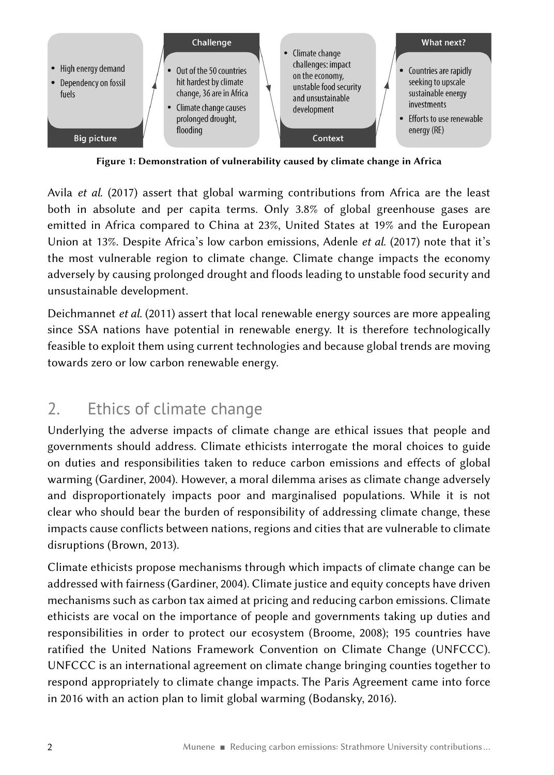

Figure 1: Demonstration of vulnerability caused by climate change in Africa

Avila *et al*. (2017) assert that global warming contributions from Africa are the least both in absolute and per capita terms. Only 3.8% of global greenhouse gases are emitted in Africa compared to China at 23%, United States at 19% and the European Union at 13%. Despite Africa's low carbon emissions, Adenle *et al*. (2017) note that it's the most vulnerable region to climate change. Climate change impacts the economy adversely by causing prolonged drought and floods leading to unstable food security and unsustainable development.

Deichmannet *et al*. (2011) assert that local renewable energy sources are more appealing since SSA nations have potential in renewable energy. It is therefore technologically feasible to exploit them using current technologies and because global trends are moving towards zero or low carbon renewable energy.

# 2. Ethics of climate change

Underlying the adverse impacts of climate change are ethical issues that people and governments should address. Climate ethicists interrogate the moral choices to guide on duties and responsibilities taken to reduce carbon emissions and effects of global warming (Gardiner, 2004). However, a moral dilemma arises as climate change adversely and disproportionately impacts poor and marginalised populations. While it is not clear who should bear the burden of responsibility of addressing climate change, these impacts cause conflicts between nations, regions and cities that are vulnerable to climate disruptions (Brown, 2013).

Climate ethicists propose mechanisms through which impacts of climate change can be addressed with fairness (Gardiner, 2004). Climate justice and equity concepts have driven mechanisms such as carbon tax aimed at pricing and reducing carbon emissions. Climate ethicists are vocal on the importance of people and governments taking up duties and responsibilities in order to protect our ecosystem (Broome, 2008); 195 countries have ratified the United Nations Framework Convention on Climate Change (UNFCCC). UNFCCC is an international agreement on climate change bringing counties together to respond appropriately to climate change impacts. The Paris Agreement came into force in 2016 with an action plan to limit global warming (Bodansky, 2016).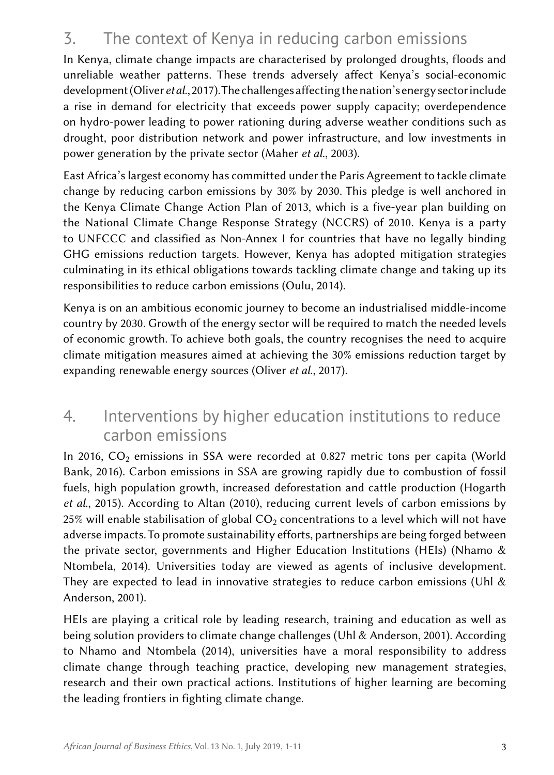# 3. The context of Kenya in reducing carbon emissions

In Kenya, climate change impacts are characterised by prolonged droughts, floods and unreliable weather patterns. These trends adversely affect Kenya's social-economic development (Oliver *et al*., 2017). The challenges affecting the nation's energy sector include a rise in demand for electricity that exceeds power supply capacity; overdependence on hydro-power leading to power rationing during adverse weather conditions such as drought, poor distribution network and power infrastructure, and low investments in power generation by the private sector (Maher *et al*., 2003).

East Africa's largest economy has committed under the Paris Agreement to tackle climate change by reducing carbon emissions by 30% by 2030. This pledge is well anchored in the Kenya Climate Change Action Plan of 2013, which is a five-year plan building on the National Climate Change Response Strategy (NCCRS) of 2010. Kenya is a party to UNFCCC and classified as Non‑Annex I for countries that have no legally binding GHG emissions reduction targets. However, Kenya has adopted mitigation strategies culminating in its ethical obligations towards tackling climate change and taking up its responsibilities to reduce carbon emissions (Oulu, 2014).

Kenya is on an ambitious economic journey to become an industrialised middle-income country by 2030. Growth of the energy sector will be required to match the needed levels of economic growth. To achieve both goals, the country recognises the need to acquire climate mitigation measures aimed at achieving the 30% emissions reduction target by expanding renewable energy sources (Oliver *et al*., 2017).

# 4. Interventions by higher education institutions to reduce carbon emissions

In 2016,  $CO<sub>2</sub>$  emissions in SSA were recorded at 0.827 metric tons per capita (World Bank, 2016). Carbon emissions in SSA are growing rapidly due to combustion of fossil fuels, high population growth, increased deforestation and cattle production (Hogarth *et al*., 2015). According to Altan (2010), reducing current levels of carbon emissions by 25% will enable stabilisation of global  $CO<sub>2</sub>$  concentrations to a level which will not have adverse impacts. To promote sustainability efforts, partnerships are being forged between the private sector, governments and Higher Education Institutions (HEIs) (Nhamo & Ntombela, 2014). Universities today are viewed as agents of inclusive development. They are expected to lead in innovative strategies to reduce carbon emissions (Uhl  $\&$ Anderson, 2001).

HEIs are playing a critical role by leading research, training and education as well as being solution providers to climate change challenges (Uhl & Anderson, 2001). According to Nhamo and Ntombela (2014), universities have a moral responsibility to address climate change through teaching practice, developing new management strategies, research and their own practical actions. Institutions of higher learning are becoming the leading frontiers in fighting climate change.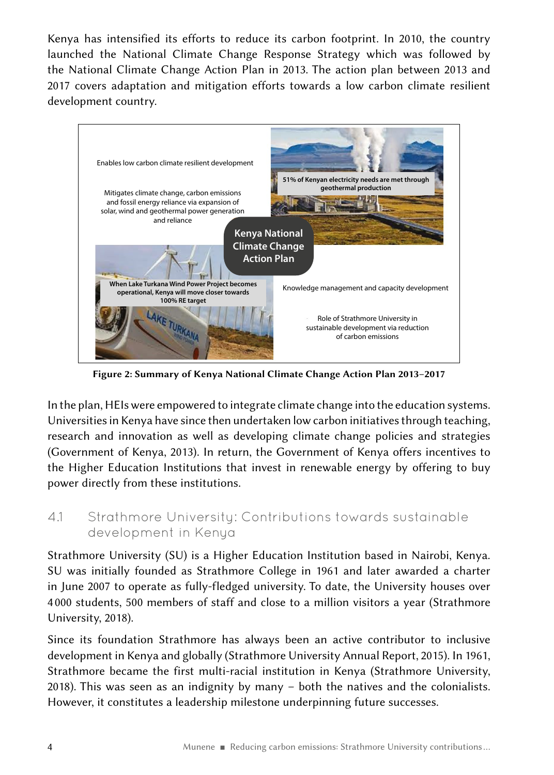Kenya has intensified its efforts to reduce its carbon footprint. In 2010, the country launched the National Climate Change Response Strategy which was followed by the National Climate Change Action Plan in 2013. The action plan between 2013 and 2017 covers adaptation and mitigation efforts towards a low carbon climate resilient development country.



Figure 2: Summary of Kenya National Climate Change Action Plan 2013–2017

In the plan, HEIs were empowered to integrate climate change into the education systems. Universities in Kenya have since then undertaken low carbon initiatives through teaching, research and innovation as well as developing climate change policies and strategies (Government of Kenya, 2013). In return, the Government of Kenya offers incentives to the Higher Education Institutions that invest in renewable energy by offering to buy power directly from these institutions.

### 4.1 Strathmore University: Contributions towards sustainable development in Kenya

Strathmore University (SU) is a Higher Education Institution based in Nairobi, Kenya. SU was initially founded as Strathmore College in 1961 and later awarded a charter in June 2007 to operate as fully-fledged university. To date, the University houses over 4 000 students, 500 members of staff and close to a million visitors a year (Strathmore University, 2018).

Since its foundation Strathmore has always been an active contributor to inclusive development in Kenya and globally (Strathmore University Annual Report, 2015). In 1961, Strathmore became the first multi-racial institution in Kenya (Strathmore University, 2018). This was seen as an indignity by many – both the natives and the colonialists. However, it constitutes a leadership milestone underpinning future successes.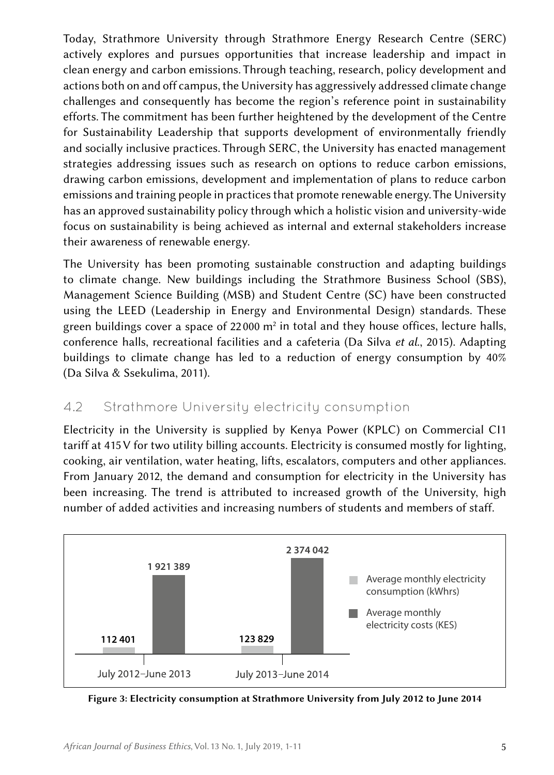Today, Strathmore University through Strathmore Energy Research Centre (SERC) actively explores and pursues opportunities that increase leadership and impact in clean energy and carbon emissions. Through teaching, research, policy development and actions both on and off campus, the University has aggressively addressed climate change challenges and consequently has become the region's reference point in sustainability efforts. The commitment has been further heightened by the development of the Centre for Sustainability Leadership that supports development of environmentally friendly and socially inclusive practices. Through SERC, the University has enacted management strategies addressing issues such as research on options to reduce carbon emissions, drawing carbon emissions, development and implementation of plans to reduce carbon emissions and training people in practices that promote renewable energy. The University has an approved sustainability policy through which a holistic vision and university-wide focus on sustainability is being achieved as internal and external stakeholders increase their awareness of renewable energy.

The University has been promoting sustainable construction and adapting buildings to climate change. New buildings including the Strathmore Business School (SBS), Management Science Building (MSB) and Student Centre (SC) have been constructed using the LEED (Leadership in Energy and Environmental Design) standards. These green buildings cover a space of 22000 m<sup>2</sup> in total and they house offices, lecture halls, conference halls, recreational facilities and a cafeteria (Da Silva *et al*., 2015). Adapting buildings to climate change has led to a reduction of energy consumption by 40% (Da Silva & Ssekulima, 2011).

### 4.2 Strathmore University electricity consumption

Electricity in the University is supplied by Kenya Power (KPLC) on Commercial CI1 tariff at 415 V for two utility billing accounts. Electricity is consumed mostly for lighting, cooking, air ventilation, water heating, lifts, escalators, computers and other appliances. From January 2012, the demand and consumption for electricity in the University has been increasing. The trend is attributed to increased growth of the University, high number of added activities and increasing numbers of students and members of staff.



Figure 3: Electricity consumption at Strathmore University from July 2012 to June 2014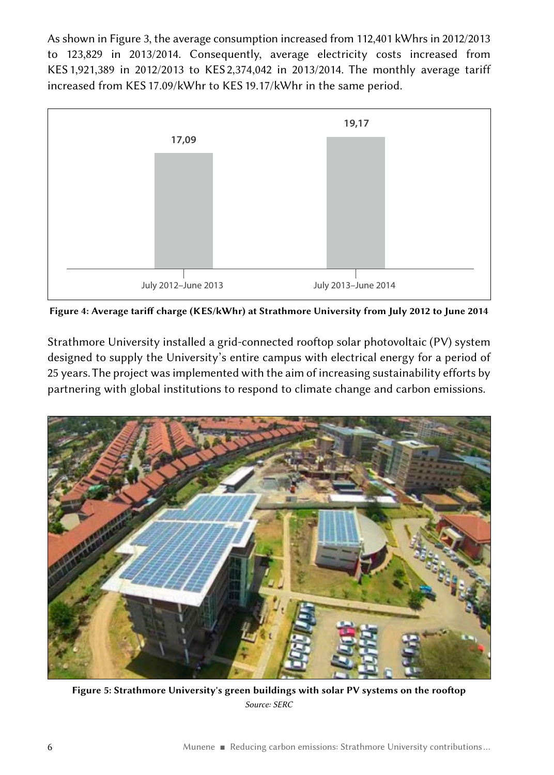As shown in Figure 3, the average consumption increased from 112,401 kWhrs in 2012/2013 to 123,829 in 2013/2014. Consequently, average electricity costs increased from KES 1,921,389 in 2012/2013 to KES 2,374,042 in 2013/2014. The monthly average tariff increased from KES 17.09/kWhr to KES 19.17/kWhr in the same period.



Figure 4: Average tariff charge (KES/kWhr) at Strathmore University from July 2012 to June 2014

Strathmore University installed a grid-connected rooftop solar photovoltaic (PV) system designed to supply the University's entire campus with electrical energy for a period of 25 years. The project was implemented with the aim of increasing sustainability efforts by partnering with global institutions to respond to climate change and carbon emissions.



Figure 5: Strathmore University's green buildings with solar PV systems on the rooftop *Source: SERC*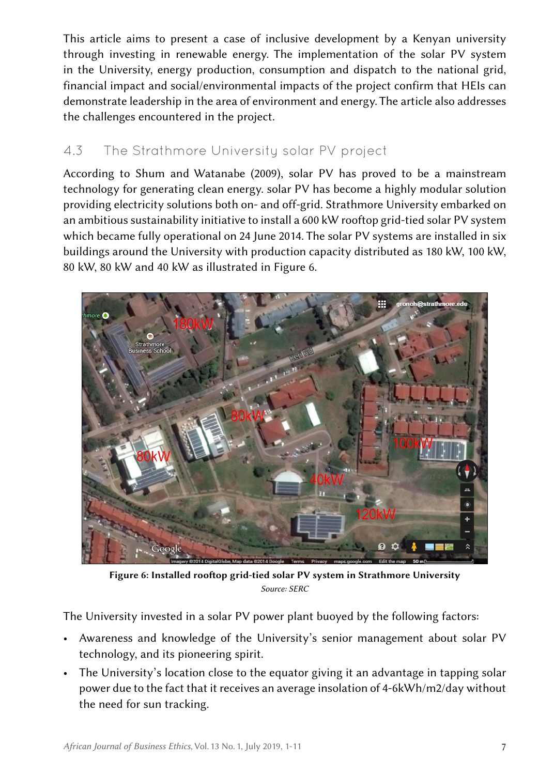This article aims to present a case of inclusive development by a Kenyan university through investing in renewable energy. The implementation of the solar PV system in the University, energy production, consumption and dispatch to the national grid, financial impact and social/environmental impacts of the project confirm that HEIs can demonstrate leadership in the area of environment and energy. The article also addresses the challenges encountered in the project.

### 4.3 The Strathmore University solar PV project

According to Shum and Watanabe (2009), solar PV has proved to be a mainstream technology for generating clean energy. solar PV has become a highly modular solution providing electricity solutions both on- and off‑grid. Strathmore University embarked on an ambitious sustainability initiative to install a 600 kW rooftop grid-tied solar PV system which became fully operational on 24 June 2014. The solar PV systems are installed in six buildings around the University with production capacity distributed as 180 kW, 100 kW, 80 kW, 80 kW and 40 kW as illustrated in Figure 6.



Figure 6: Installed rooftop grid-tied solar PV system in Strathmore University *Source: SERC*

The University invested in a solar PV power plant buoyed by the following factors:

- Awareness and knowledge of the University's senior management about solar PV technology, and its pioneering spirit.
- The University's location close to the equator giving it an advantage in tapping solar power due to the fact that it receives an average insolation of 4‑6kWh/m2/day without the need for sun tracking.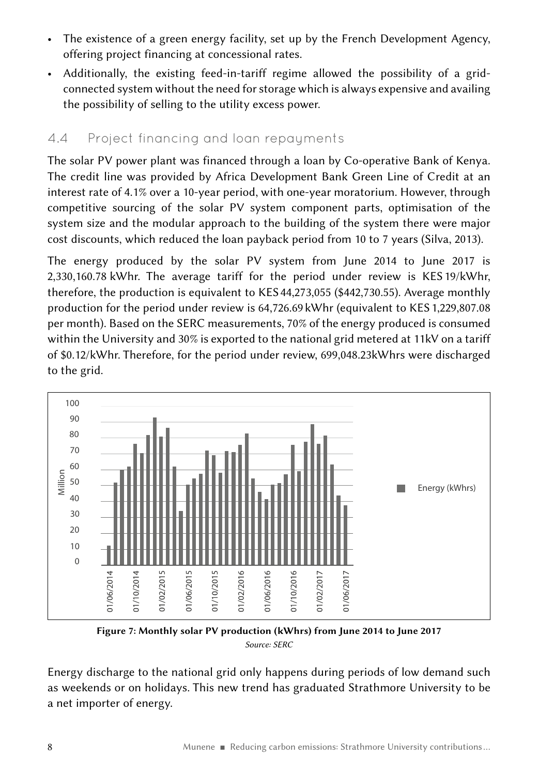- The existence of a green energy facility, set up by the French Development Agency, offering project financing at concessional rates.
- Additionally, the existing feed-in-tariff regime allowed the possibility of a gridconnected system without the need for storage which is always expensive and availing the possibility of selling to the utility excess power.

### 4.4 Project financing and loan repayments

The solar PV power plant was financed through a loan by Co-operative Bank of Kenya. The credit line was provided by Africa Development Bank Green Line of Credit at an interest rate of 4.1% over a 10‑year period, with one‑year moratorium. However, through competitive sourcing of the solar PV system component parts, optimisation of the system size and the modular approach to the building of the system there were major cost discounts, which reduced the loan payback period from 10 to 7 years (Silva, 2013).

The energy produced by the solar PV system from June 2014 to June 2017 is 2,330,160.78  kWhr. The average tariff for the period under review is KES 19/kWhr, therefore, the production is equivalent to KES 44,273,055 (\$442,730.55). Average monthly production for the period under review is 64,726.69 kWhr (equivalent to KES 1,229,807.08 per month). Based on the SERC measurements, 70% of the energy produced is consumed within the University and 30% is exported to the national grid metered at 11kV on a tariff of \$0.12/kWhr. Therefore, for the period under review, 699,048.23kWhrs were discharged to the grid.



Figure 7: Monthly solar PV production (kWhrs) from June 2014 to June 2017 *Source: SERC*

Energy discharge to the national grid only happens during periods of low demand such as weekends or on holidays. This new trend has graduated Strathmore University to be a net importer of energy.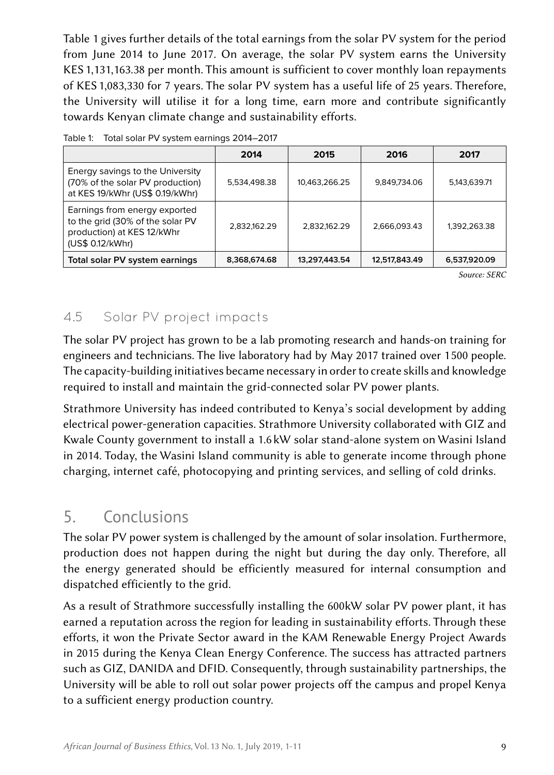Table 1 gives further details of the total earnings from the solar PV system for the period from June 2014 to June 2017. On average, the solar PV system earns the University KES 1,131,163.38 per month. This amount is sufficient to cover monthly loan repayments of KES 1,083,330 for 7 years. The solar PV system has a useful life of 25 years. Therefore, the University will utilise it for a long time, earn more and contribute significantly towards Kenyan climate change and sustainability efforts.

| Table 1: Total solar PV system earnings 2014-2017 |  |  |
|---------------------------------------------------|--|--|
|                                                   |  |  |

|                                                                                                                     | 2014         | 2015          | 2016          | 2017         |
|---------------------------------------------------------------------------------------------------------------------|--------------|---------------|---------------|--------------|
| Energy savings to the University<br>(70% of the solar PV production)<br>at KES 19/kWhr (US\$ 0.19/kWhr)             | 5,534,498.38 | 10,463,266.25 | 9,849,734.06  | 5,143,639.71 |
| Earnings from energy exported<br>to the grid (30% of the solar PV<br>production) at KES 12/kWhr<br>(US\$ 0.12/kWhr) | 2,832,162.29 | 2.832.162.29  | 2.666.093.43  | 1,392,263.38 |
| Total solar PV system earnings                                                                                      | 8,368,674.68 | 13,297,443.54 | 12,517,843.49 | 6,537,920.09 |

*Source: SERC*

## 4.5 Solar PV project impacts

The solar PV project has grown to be a lab promoting research and hands-on training for engineers and technicians. The live laboratory had by May 2017 trained over 1 500 people. The capacity-building initiatives became necessary in order to create skills and knowledge required to install and maintain the grid-connected solar PV power plants.

Strathmore University has indeed contributed to Kenya's social development by adding electrical power-generation capacities. Strathmore University collaborated with GIZ and Kwale County government to install a 1.6 kW solar stand-alone system on Wasini Island in 2014. Today, the Wasini Island community is able to generate income through phone charging, internet café, photocopying and printing services, and selling of cold drinks.

# 5. Conclusions

The solar PV power system is challenged by the amount of solar insolation. Furthermore, production does not happen during the night but during the day only. Therefore, all the energy generated should be efficiently measured for internal consumption and dispatched efficiently to the grid.

As a result of Strathmore successfully installing the 600kW solar PV power plant, it has earned a reputation across the region for leading in sustainability efforts. Through these efforts, it won the Private Sector award in the KAM Renewable Energy Project Awards in 2015 during the Kenya Clean Energy Conference. The success has attracted partners such as GIZ, DANIDA and DFID. Consequently, through sustainability partnerships, the University will be able to roll out solar power projects off the campus and propel Kenya to a sufficient energy production country.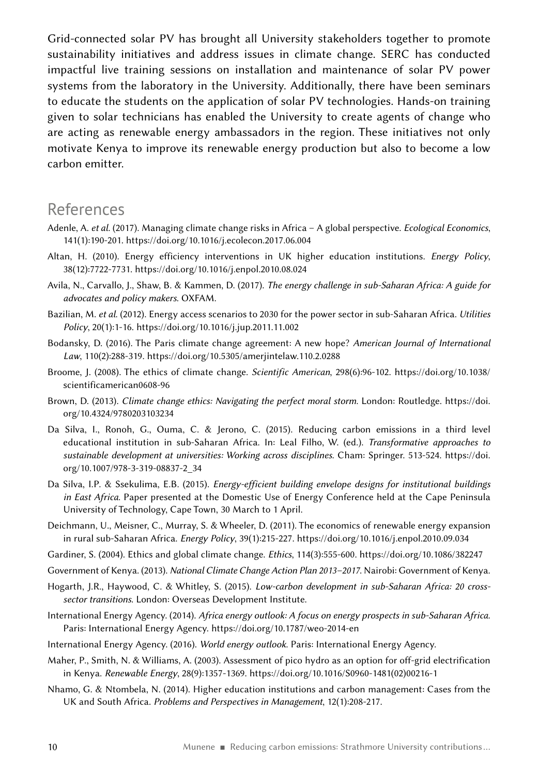Grid-connected solar PV has brought all University stakeholders together to promote sustainability initiatives and address issues in climate change. SERC has conducted impactful live training sessions on installation and maintenance of solar PV power systems from the laboratory in the University. Additionally, there have been seminars to educate the students on the application of solar PV technologies. Hands-on training given to solar technicians has enabled the University to create agents of change who are acting as renewable energy ambassadors in the region. These initiatives not only motivate Kenya to improve its renewable energy production but also to become a low carbon emitter.

### References

- Adenle, A. *et al*. (2017). Managing climate change risks in Africa A global perspective. *Ecological Economics*, 141(1):190‑201. <https://doi.org/10.1016/j.ecolecon.2017.06.004>
- Altan, H. (2010). Energy efficiency interventions in UK higher education institutions. *Energy Policy*, 38(12):7722‑7731. <https://doi.org/10.1016/j.enpol.2010.08.024>
- Avila, N., Carvallo, J., Shaw, B. & Kammen, D. (2017). *The energy challenge in sub‑Saharan Africa: A guide for advocates and policy makers*. OXFAM.
- Bazilian, M. *et al*. (2012). Energy access scenarios to 2030 for the power sector in sub‑Saharan Africa. *Utilities Policy*, 20(1):1‑16.<https://doi.org/10.1016/j.jup.2011.11.002>
- Bodansky, D. (2016). The Paris climate change agreement: A new hope? *American Journal of International Law*, 110(2):288‑319. <https://doi.org/10.5305/amerjintelaw.110.2.0288>
- Broome, J. (2008). The ethics of climate change. *Scientific American*, 298(6):96‑102. [https://doi.org/10.1038/](https://doi.org/10.1038/scientificamerican0608-96) [scientificamerican0608-96](https://doi.org/10.1038/scientificamerican0608-96)
- Brown, D. (2013). *Climate change ethics: Navigating the perfect moral storm*. London: Routledge. [https://doi.](https://doi.org/10.4324/9780203103234) [org/10.4324/9780203103234](https://doi.org/10.4324/9780203103234)
- Da Silva, I., Ronoh, G., Ouma, C. & Jerono, C. (2015). Reducing carbon emissions in a third level educational institution in sub‑Saharan Africa. In: Leal Filho, W. (ed.). *Transformative approaches to sustainable development at universities: Working across disciplines*. Cham: Springer. 513‑524. [https://doi.](https://doi.org/10.1007/978-3-319-08837-2_34) [org/10.1007/978-3-319-08837-2\\_34](https://doi.org/10.1007/978-3-319-08837-2_34)
- Da Silva, I.P. & Ssekulima, E.B. (2015). *Energy-efficient building envelope designs for institutional buildings in East Africa*. Paper presented at the Domestic Use of Energy Conference held at the Cape Peninsula University of Technology, Cape Town, 30 March to 1 April.
- Deichmann, U., Meisner, C., Murray, S. & Wheeler, D. (2011). The economics of renewable energy expansion in rural sub‑Saharan Africa. *Energy Policy*, 39(1):215‑227.<https://doi.org/10.1016/j.enpol.2010.09.034>
- Gardiner, S. (2004). Ethics and global climate change. *Ethics*, 114(3):555‑600.<https://doi.org/10.1086/382247>
- Government of Kenya. (2013). *National Climate Change Action Plan 2013–2017*. Nairobi: Government of Kenya.
- Hogarth, J.R., Haywood, C. & Whitley, S. (2015). *Low-carbon development in sub‑Saharan Africa: 20 crosssector transitions*. London: Overseas Development Institute.
- International Energy Agency. (2014). *Africa energy outlook: A focus on energy prospects in sub‑Saharan Africa*. Paris: International Energy Agency.<https://doi.org/10.1787/weo-2014-en>
- International Energy Agency. (2016). *World energy outlook*. Paris: International Energy Agency.
- Maher, P., Smith, N. & Williams, A. (2003). Assessment of pico hydro as an option for off-grid electrification in Kenya. *Renewable Energy*, 28(9):1357‑1369. [https://doi.org/10.1016/S0960-1481\(02\)00216-1](https://doi.org/10.1016/S0960-1481(02)00216-1)
- Nhamo, G. & Ntombela, N. (2014). Higher education institutions and carbon management: Cases from the UK and South Africa. *Problems and Perspectives in Management*, 12(1):208-217.